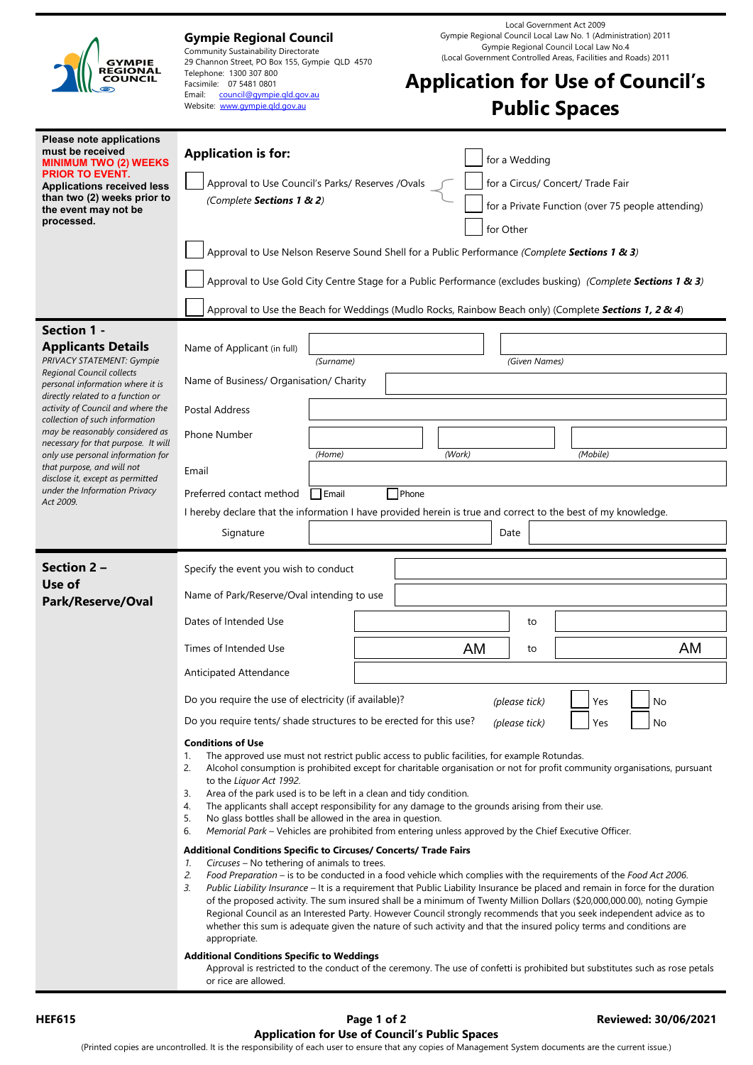| GYMPIE<br><b>REGIONAL</b><br>COUNCIL                                                                                                                                                                      | Local Government Act 2009<br>Gympie Regional Council Local Law No. 1 (Administration) 2011<br><b>Gympie Regional Council</b><br>Gympie Regional Council Local Law No.4<br>Community Sustainability Directorate<br>(Local Government Controlled Areas, Facilities and Roads) 2011<br>29 Channon Street, PO Box 155, Gympie QLD 4570<br>Telephone: 1300 307 800<br><b>Application for Use of Council's</b><br>Facsimile: 07 5481 0801<br>Email:<br>council@gympie.gld.gov.au<br><b>Public Spaces</b><br>Website: www.gympie.gld.gov.au                                                                                                                                                                                                                                                  |
|-----------------------------------------------------------------------------------------------------------------------------------------------------------------------------------------------------------|---------------------------------------------------------------------------------------------------------------------------------------------------------------------------------------------------------------------------------------------------------------------------------------------------------------------------------------------------------------------------------------------------------------------------------------------------------------------------------------------------------------------------------------------------------------------------------------------------------------------------------------------------------------------------------------------------------------------------------------------------------------------------------------|
| Please note applications<br>must be received<br><b>MINIMUM TWO (2) WEEKS</b><br>PRIOR TO EVENT.<br><b>Applications received less</b><br>than two (2) weeks prior to<br>the event may not be<br>processed. | <b>Application is for:</b><br>for a Wedding<br>for a Circus/ Concert/ Trade Fair<br>Approval to Use Council's Parks/ Reserves /Ovals<br>(Complete Sections 1 & 2)<br>for a Private Function (over 75 people attending)<br>for Other                                                                                                                                                                                                                                                                                                                                                                                                                                                                                                                                                   |
|                                                                                                                                                                                                           | Approval to Use Nelson Reserve Sound Shell for a Public Performance (Complete Sections 1 & 3)<br>Approval to Use Gold City Centre Stage for a Public Performance (excludes busking) (Complete Sections 1 & 3)<br>Approval to Use the Beach for Weddings (Mudlo Rocks, Rainbow Beach only) (Complete Sections 1, 2 & 4)                                                                                                                                                                                                                                                                                                                                                                                                                                                                |
| <b>Section 1 -</b>                                                                                                                                                                                        |                                                                                                                                                                                                                                                                                                                                                                                                                                                                                                                                                                                                                                                                                                                                                                                       |
|                                                                                                                                                                                                           | Name of Applicant (in full)                                                                                                                                                                                                                                                                                                                                                                                                                                                                                                                                                                                                                                                                                                                                                           |
| <b>Applicants Details</b><br><b>PRIVACY STATEMENT: Gympie</b><br>Regional Council collects<br>personal information where it is                                                                            | (Surname)<br>(Given Names)<br>Name of Business/ Organisation/ Charity                                                                                                                                                                                                                                                                                                                                                                                                                                                                                                                                                                                                                                                                                                                 |
| directly related to a function or<br>activity of Council and where the                                                                                                                                    | Postal Address                                                                                                                                                                                                                                                                                                                                                                                                                                                                                                                                                                                                                                                                                                                                                                        |
| collection of such information<br>may be reasonably considered as                                                                                                                                         | Phone Number                                                                                                                                                                                                                                                                                                                                                                                                                                                                                                                                                                                                                                                                                                                                                                          |
| necessary for that purpose. It will<br>only use personal information for                                                                                                                                  | (Mobile)<br>(Work)<br>(Home)                                                                                                                                                                                                                                                                                                                                                                                                                                                                                                                                                                                                                                                                                                                                                          |
| that purpose, and will not<br>disclose it, except as permitted                                                                                                                                            | Email                                                                                                                                                                                                                                                                                                                                                                                                                                                                                                                                                                                                                                                                                                                                                                                 |
| under the Information Privacy<br>Act 2009.                                                                                                                                                                | <b>Phone</b><br>Preferred contact method<br>Email                                                                                                                                                                                                                                                                                                                                                                                                                                                                                                                                                                                                                                                                                                                                     |
|                                                                                                                                                                                                           | I hereby declare that the information I have provided herein is true and correct to the best of my knowledge.                                                                                                                                                                                                                                                                                                                                                                                                                                                                                                                                                                                                                                                                         |
|                                                                                                                                                                                                           | Signature<br>Date                                                                                                                                                                                                                                                                                                                                                                                                                                                                                                                                                                                                                                                                                                                                                                     |
| Section 2 -                                                                                                                                                                                               | Specify the event you wish to conduct                                                                                                                                                                                                                                                                                                                                                                                                                                                                                                                                                                                                                                                                                                                                                 |
| Use of<br>Park/Reserve/Oval                                                                                                                                                                               | Name of Park/Reserve/Oval intending to use                                                                                                                                                                                                                                                                                                                                                                                                                                                                                                                                                                                                                                                                                                                                            |
|                                                                                                                                                                                                           | Dates of Intended Use<br>to                                                                                                                                                                                                                                                                                                                                                                                                                                                                                                                                                                                                                                                                                                                                                           |
|                                                                                                                                                                                                           | AM<br>AM<br>Times of Intended Use<br>to                                                                                                                                                                                                                                                                                                                                                                                                                                                                                                                                                                                                                                                                                                                                               |
|                                                                                                                                                                                                           | Anticipated Attendance                                                                                                                                                                                                                                                                                                                                                                                                                                                                                                                                                                                                                                                                                                                                                                |
|                                                                                                                                                                                                           | Do you require the use of electricity (if available)?<br>(please tick)<br>Yes<br>No                                                                                                                                                                                                                                                                                                                                                                                                                                                                                                                                                                                                                                                                                                   |
|                                                                                                                                                                                                           | Do you require tents/ shade structures to be erected for this use?<br>(please tick)<br>Yes<br>No                                                                                                                                                                                                                                                                                                                                                                                                                                                                                                                                                                                                                                                                                      |
|                                                                                                                                                                                                           | <b>Conditions of Use</b><br>The approved use must not restrict public access to public facilities, for example Rotundas.<br>1.<br>2.<br>Alcohol consumption is prohibited except for charitable organisation or not for profit community organisations, pursuant<br>to the Liquor Act 1992.<br>Area of the park used is to be left in a clean and tidy condition.<br>3.<br>The applicants shall accept responsibility for any damage to the grounds arising from their use.<br>4.<br>5.<br>No glass bottles shall be allowed in the area in question.<br>6.<br>Memorial Park – Vehicles are prohibited from entering unless approved by the Chief Executive Officer.                                                                                                                  |
|                                                                                                                                                                                                           | Additional Conditions Specific to Circuses/ Concerts/ Trade Fairs<br>Circuses - No tethering of animals to trees.<br>1.<br>2.<br>Food Preparation – is to be conducted in a food vehicle which complies with the requirements of the Food Act 2006.<br>Public Liability Insurance - It is a requirement that Public Liability Insurance be placed and remain in force for the duration<br>З.<br>of the proposed activity. The sum insured shall be a minimum of Twenty Million Dollars (\$20,000,000.00), noting Gympie<br>Regional Council as an Interested Party. However Council strongly recommends that you seek independent advice as to<br>whether this sum is adequate given the nature of such activity and that the insured policy terms and conditions are<br>appropriate. |
|                                                                                                                                                                                                           | <b>Additional Conditions Specific to Weddings</b><br>Approval is restricted to the conduct of the ceremony. The use of confetti is prohibited but substitutes such as rose petals<br>or rice are allowed.                                                                                                                                                                                                                                                                                                                                                                                                                                                                                                                                                                             |

## **HEF615 Page 1 of 2 Reviewed: 30/06/2021 Application for Use of Council's Public Spaces**

(Printed copies are uncontrolled. It is the responsibility of each user to ensure that any copies of Management System documents are the current issue.)